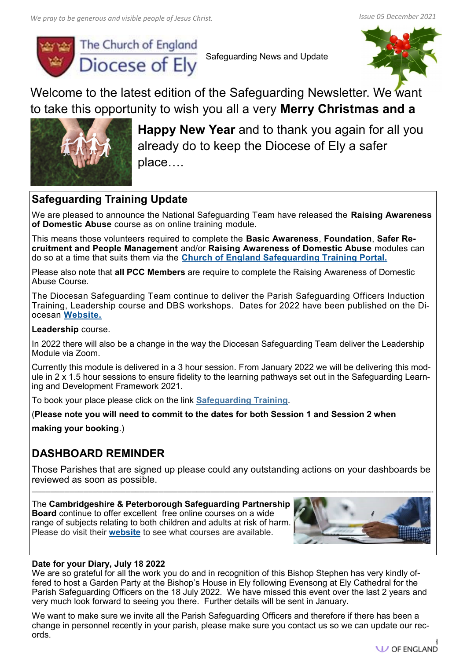

Safeguarding News and Update



Welcome to the latest edition of the Safeguarding Newsletter. We want to take this opportunity to wish you all a very **Merry Christmas and a**



**Happy New Year** and to thank you again for all you already do to keep the Diocese of Ely a safer place….

### **Safeguarding Training Update**

We are pleased to announce the National Safeguarding Team have released the **Raising Awareness of Domestic Abuse** course as on online training module.

This means those volunteers required to complete the **Basic Awareness**, **Foundation**, **Safer Recruitment and People Management** and/or **Raising Awareness of Domestic Abuse** modules can do so at a time that suits them via the **[Church of England Safeguarding Training Portal.](https://safeguardingtraining.cofeportal.org/login/index.php)**

Please also note that **all PCC Members** are require to complete the Raising Awareness of Domestic Abuse Course.

The Diocesan Safeguarding Team continue to deliver the Parish Safeguarding Officers Induction Training, Leadership course and DBS workshops. Dates for 2022 have been published on the Diocesan **[Website.](https://elydatabase.org/events/safeguarding)**

**Leadership** course.

In 2022 there will also be a change in the way the Diocesan Safeguarding Team deliver the Leadership Module via Zoom.

Currently this module is delivered in a 3 hour session. From January 2022 we will be delivering this module in 2 x 1.5 hour sessions to ensure fidelity to the learning pathways set out in the Safeguarding Learning and Development Framework 2021.

To book your place please click on the link **[Safeguarding Training](https://www.elydiocese.org/safeguarding/safeguarding-training-and-development/)**.

(**Please note you will need to commit to the dates for both Session 1 and Session 2 when** 

**making your booking**.)

## **DASHBOARD REMINDER**

Those Parishes that are signed up please could any outstanding actions on your dashboards be reviewed as soon as possible.

**—————————————————————————————————————————————————————————————————————————————————————-**

The **Cambridgeshire & Peterborough Safeguarding Partnership Board** continue to offer excellent free online courses on a wide range of subjects relating to both children and adults at risk of harm.

Please do visit their **[website](https://safeguardingcambspeterborough.org.uk/home/availabletraining/)** to see what courses are available.



### **Date for your Diary, July 18 2022**

We are so grateful for all the work you do and in recognition of this Bishop Stephen has very kindly offered to host a Garden Party at the Bishop's House in Ely following Evensong at Ely Cathedral for the Parish Safeguarding Officers on the 18 July 2022. We have missed this event over the last 2 years and very much look forward to seeing you there. Further details will be sent in January.

We want to make sure we invite all the Parish Safeguarding Officers and therefore if there has been a change in personnel recently in your parish, please make sure you contact us so we can update our records.